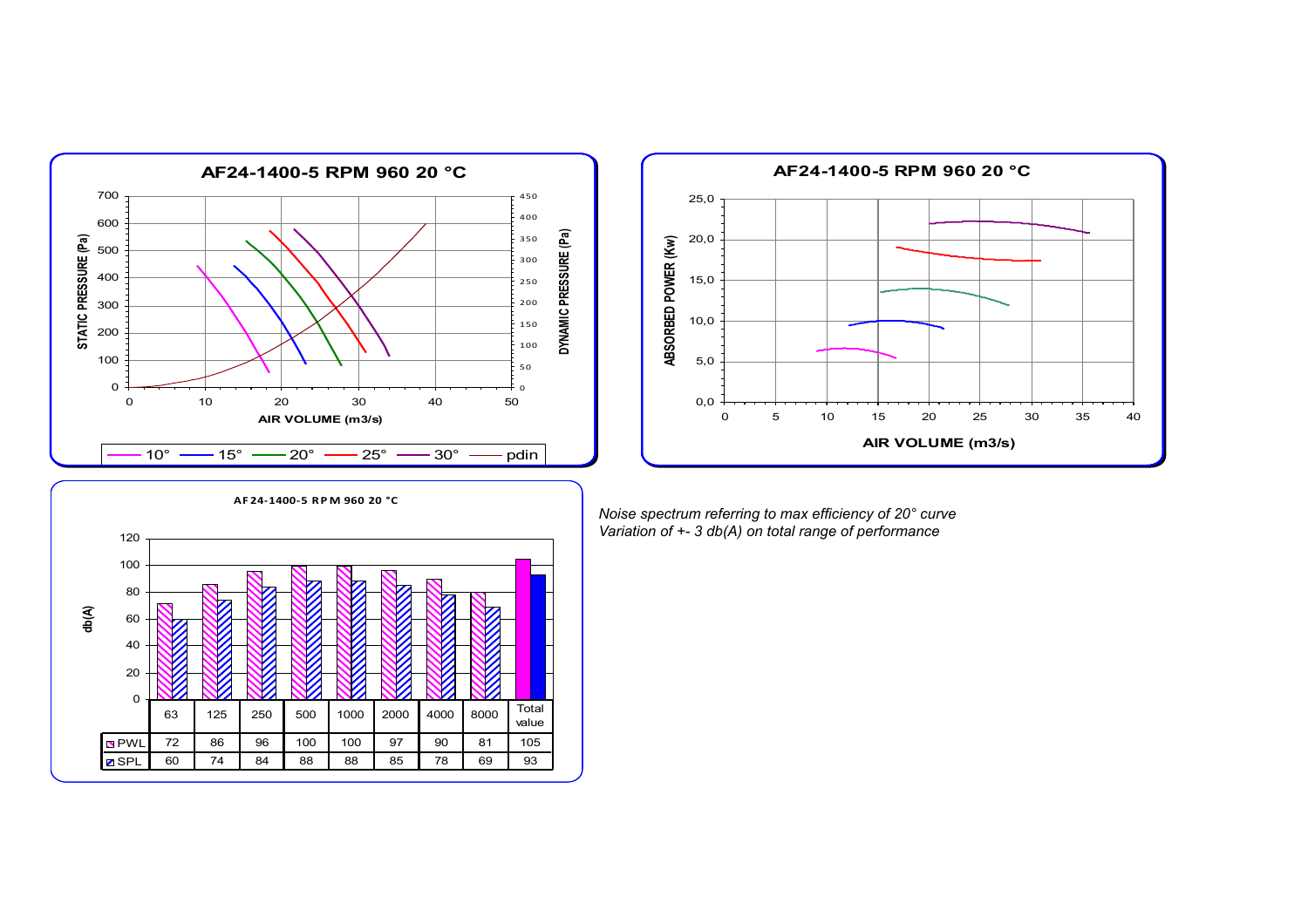



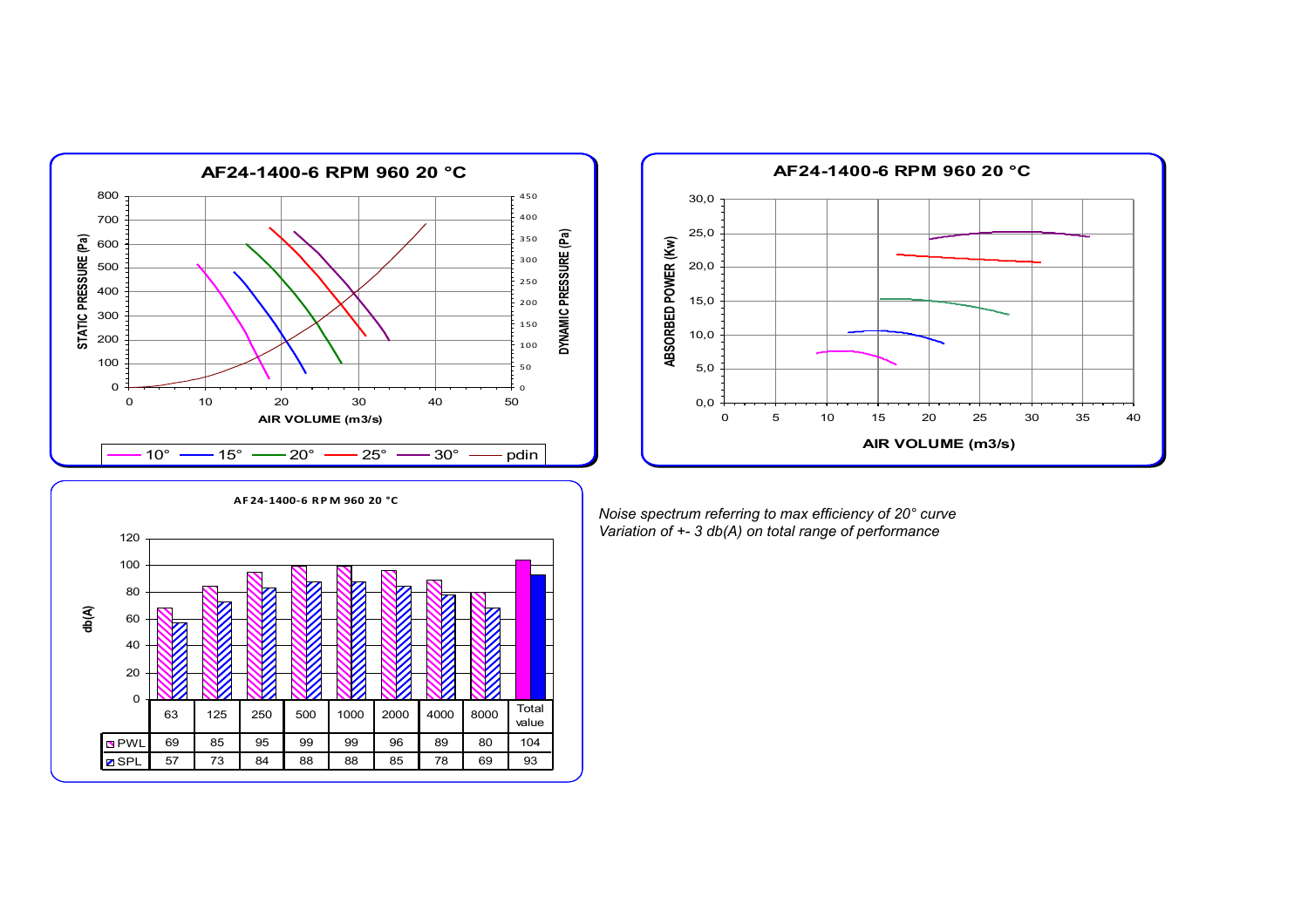



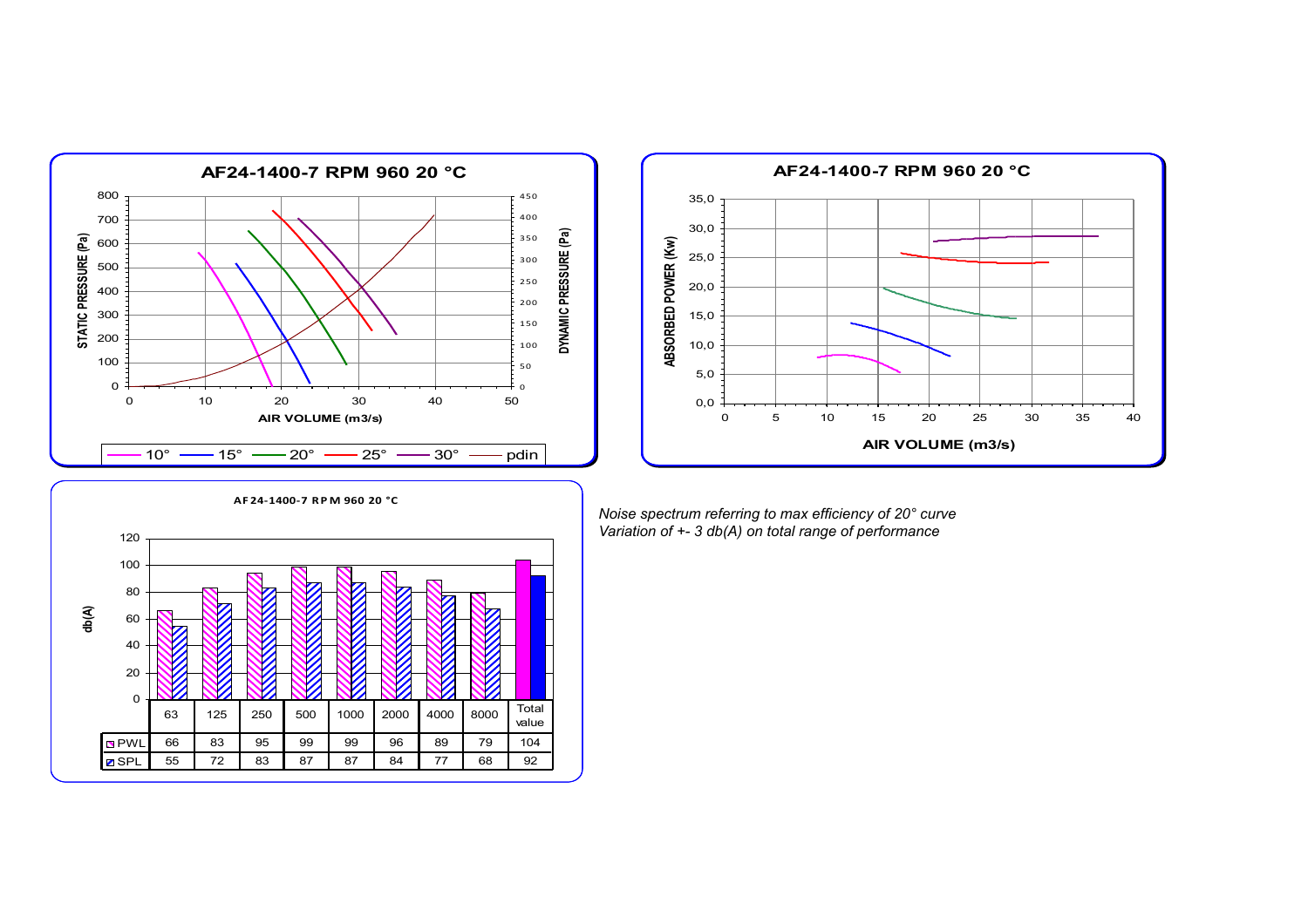



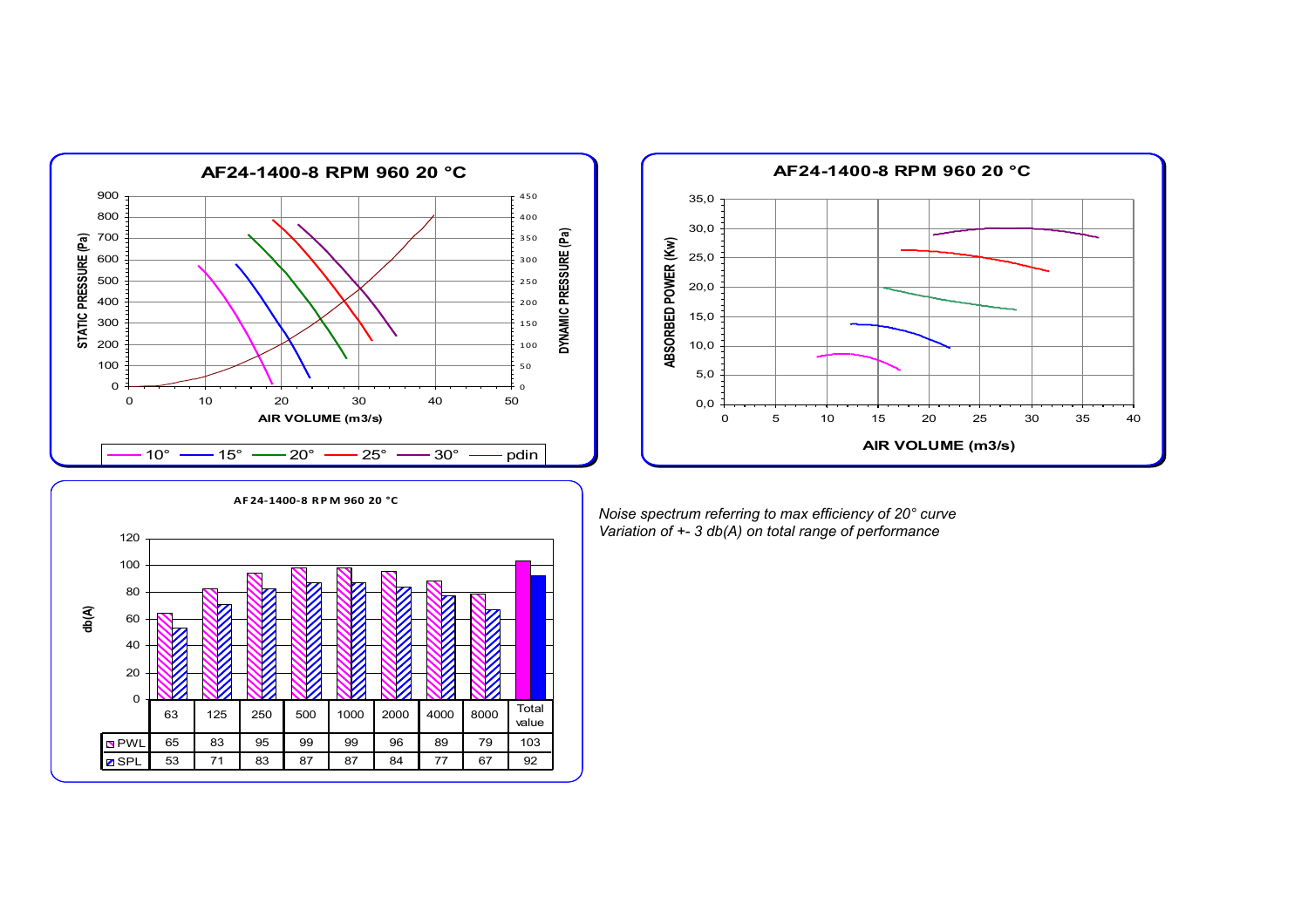